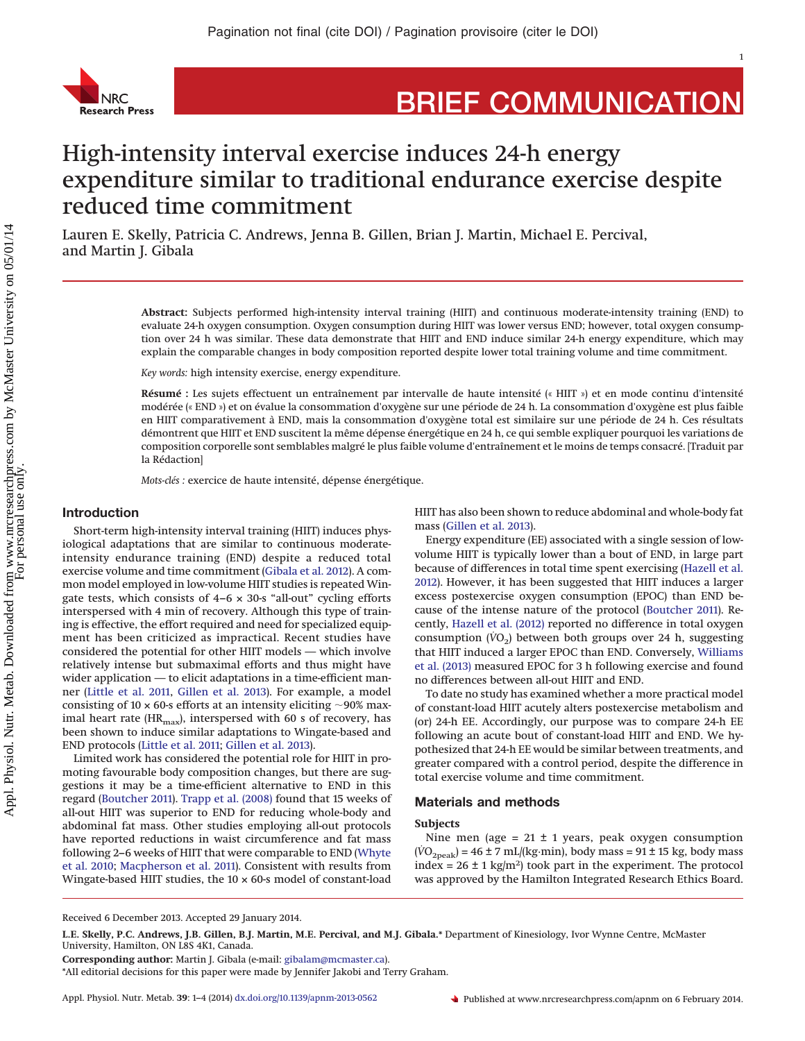

# **BRIEF COMMUNICATION**

1

## High-intensity interval exercise induces 24-h energy expenditure similar to traditional endurance exercise despite reduced time commitment

Lauren E. Skelly, Patricia C. Andrews, Jenna B. Gillen, Brian J. Martin, Michael E. Percival, and Martin J. Gibala

> **Abstract:** Subjects performed high-intensity interval training (HIIT) and continuous moderate-intensity training (END) to evaluate 24-h oxygen consumption. Oxygen consumption during HIIT was lower versus END; however, total oxygen consumption over 24 h was similar. These data demonstrate that HIIT and END induce similar 24-h energy expenditure, which may explain the comparable changes in body composition reported despite lower total training volume and time commitment.

*Key words:* high intensity exercise, energy expenditure.

**Résumé :** Les sujets effectuent un entraînement par intervalle de haute intensité (« HIIT ») et en mode continu d'intensité modérée (« END ») et on évalue la consommation d'oxygène sur une période de 24 h. La consommation d'oxygène est plus faible en HIIT comparativement à END, mais la consommation d'oxygène total est similaire sur une période de 24 h. Ces résultats démontrent que HIIT et END suscitent la même dépense énergétique en 24 h, ce qui semble expliquer pourquoi les variations de composition corporelle sont semblables malgré le plus faible volume d'entraînement et le moins de temps consacré. [Traduit par la Rédaction]

*Mots-clés :* exercice de haute intensité, dépense énergétique.

## **Introduction**

Short-term high-intensity interval training (HIIT) induces physiological adaptations that are similar to continuous moderateintensity endurance training (END) despite a reduced total exercise volume and time commitment [\(Gibala et al. 2012\)](#page-2-0). A common model employed in low-volume HIIT studies is repeated Wingate tests, which consists of  $4-6 \times 30$ -s "all-out" cycling efforts interspersed with 4 min of recovery. Although this type of training is effective, the effort required and need for specialized equipment has been criticized as impractical. Recent studies have considered the potential for other HIIT models — which involve relatively intense but submaximal efforts and thus might have wider application — to elicit adaptations in a time-efficient manner [\(Little et al. 2011,](#page-3-0) [Gillen et al. 2013\)](#page-3-1). For example, a model consisting of 10  $\times$  60-s efforts at an intensity eliciting  $\sim$ 90% maximal heart rate ( $HR_{\text{max}}$ ), interspersed with 60 s of recovery, has been shown to induce similar adaptations to Wingate-based and END protocols [\(Little et al. 2011;](#page-3-0) [Gillen et al. 2013\)](#page-3-1).

Limited work has considered the potential role for HIIT in promoting favourable body composition changes, but there are suggestions it may be a time-efficient alternative to END in this regard [\(Boutcher 2011\)](#page-2-1). [Trapp et al. \(2008\)](#page-3-2) found that 15 weeks of all-out HIIT was superior to END for reducing whole-body and abdominal fat mass. Other studies employing all-out protocols have reported reductions in waist circumference and fat mass following 2–6 weeks of HIIT that were comparable to END [\(Whyte](#page-3-3) [et al. 2010;](#page-3-3) [Macpherson et al. 2011\)](#page-3-4). Consistent with results from Wingate-based HIIT studies, the  $10 \times 60$ -s model of constant-load

HIIT has also been shown to reduce abdominal and whole-body fat mass [\(Gillen et al. 2013\)](#page-3-1).

Energy expenditure (EE) associated with a single session of lowvolume HIIT is typically lower than a bout of END, in large part because of differences in total time spent exercising [\(Hazell et al.](#page-3-5) [2012\)](#page-3-5). However, it has been suggested that HIIT induces a larger excess postexercise oxygen consumption (EPOC) than END because of the intense nature of the protocol [\(Boutcher 2011\)](#page-2-1). Recently, [Hazell et al. \(2012\)](#page-3-5) reported no difference in total oxygen consumption  $(\dot{V}O_2)$  between both groups over 24 h, suggesting that HIIT induced a larger EPOC than END. Conversely, [Williams](#page-3-6) [et al. \(2013\)](#page-3-6) measured EPOC for 3 h following exercise and found no differences between all-out HIIT and END.

To date no study has examined whether a more practical model of constant-load HIIT acutely alters postexercise metabolism and (or) 24-h EE. Accordingly, our purpose was to compare 24-h EE following an acute bout of constant-load HIIT and END. We hypothesized that 24-h EE would be similar between treatments, and greater compared with a control period, despite the difference in total exercise volume and time commitment.

## **Materials and methods**

## **Subjects**

Nine men (age =  $21 \pm 1$  years, peak oxygen consumption  $(VO<sub>2peak</sub>) = 46 \pm 7$  mL/(kg·min), body mass = 91 ± 15 kg, body mass index =  $26 \pm 1$  kg/m<sup>2</sup>) took part in the experiment. The protocol was approved by the Hamilton Integrated Research Ethics Board.

Received 6 December 2013. Accepted 29 January 2014.

**L.E. Skelly, P.C. Andrews, J.B. Gillen, B.J. Martin, M.E. Percival, and M.J. Gibala.\*** Department of Kinesiology, Ivor Wynne Centre, McMaster University, Hamilton, ON L8S 4K1, Canada.

**Corresponding author:** Martin J. Gibala (e-mail: [gibalam@mcmaster.ca\)](mailto:gibalam@mcmaster.ca).

<sup>\*</sup>All editorial decisions for this paper were made by Jennifer Jakobi and Terry Graham.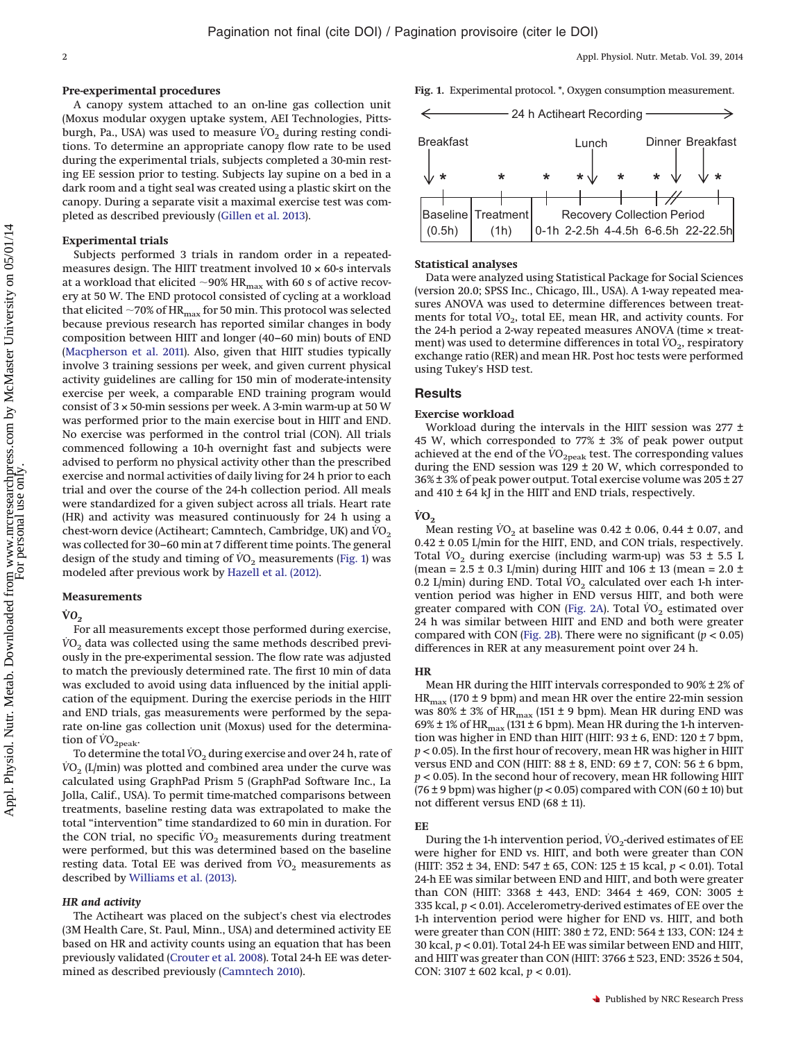#### **Pre-experimental procedures**

A canopy system attached to an on-line gas collection unit (Moxus modular oxygen uptake system, AEI Technologies, Pittsburgh, Pa., USA) was used to measure  $\dot{V}O_2$  during resting conditions. To determine an appropriate canopy flow rate to be used during the experimental trials, subjects completed a 30-min resting EE session prior to testing. Subjects lay supine on a bed in a dark room and a tight seal was created using a plastic skirt on the canopy. During a separate visit a maximal exercise test was completed as described previously [\(Gillen et al. 2013\)](#page-3-1).

#### **Experimental trials**

Subjects performed 3 trials in random order in a repeatedmeasures design. The HIIT treatment involved  $10 \times 60$ -s intervals at a workload that elicited  ${\sim}$ 90% HR $_{\rm max}$  with 60 s of active recovery at 50 W. The END protocol consisted of cycling at a workload that elicited  ${\sim}70\%$  of HR $_{\rm max}$  for 50 min. This protocol was selected because previous research has reported similar changes in body composition between HIIT and longer (40–60 min) bouts of END [\(Macpherson et al. 2011\)](#page-3-4). Also, given that HIIT studies typically involve 3 training sessions per week, and given current physical activity guidelines are calling for 150 min of moderate-intensity exercise per week, a comparable END training program would consist of  $3 \times 50$ -min sessions per week. A 3-min warm-up at  $50 \text{ W}$ was performed prior to the main exercise bout in HIIT and END. No exercise was performed in the control trial (CON). All trials commenced following a 10-h overnight fast and subjects were advised to perform no physical activity other than the prescribed exercise and normal activities of daily living for 24 h prior to each trial and over the course of the 24-h collection period. All meals were standardized for a given subject across all trials. Heart rate (HR) and activity was measured continuously for 24 h using a chest-worn device (Actiheart; Camntech, Cambridge, UK) and  $\dot{V}O_2$ was collected for 30–60 min at 7 different time points. The general design of the study and timing of  $VO<sub>2</sub>$  measurements [\(Fig. 1\)](#page-1-0) was modeled after previous work by [Hazell et al. \(2012\).](#page-3-5)

#### **Measurements**

#### **VO**<sub>2</sub>

For all measurements except those performed during exercise,  $VO<sub>2</sub>$  data was collected using the same methods described previously in the pre-experimental session. The flow rate was adjusted to match the previously determined rate. The first 10 min of data was excluded to avoid using data influenced by the initial application of the equipment. During the exercise periods in the HIIT and END trials, gas measurements were performed by the separate on-line gas collection unit (Moxus) used for the determination of  $VO_{2\text{peak}}$ .

To determine the total  $VO<sub>2</sub>$  during exercise and over 24 h, rate of  $VO<sub>2</sub>$  (L/min) was plotted and combined area under the curve was calculated using GraphPad Prism 5 (GraphPad Software Inc., La Jolla, Calif., USA). To permit time-matched comparisons between treatments, baseline resting data was extrapolated to make the total "intervention" time standardized to 60 min in duration. For the CON trial, no specific  $\dot{V}O_2$  measurements during treatment were performed, but this was determined based on the baseline resting data. Total EE was derived from  $VO<sub>2</sub>$  measurements as described by [Williams et al. \(2013\).](#page-3-6)

### *HR and activity*

The Actiheart was placed on the subject's chest via electrodes (3M Health Care, St. Paul, Minn., USA) and determined activity EE based on HR and activity counts using an equation that has been previously validated [\(Crouter et al. 2008\)](#page-2-2). Total 24-h EE was determined as described previously [\(Camntech 2010\)](#page-2-3).

**Fig. 1.** Experimental protocol. \*, Oxygen consumption measurement.

<span id="page-1-0"></span>

#### **Statistical analyses**

Data were analyzed using Statistical Package for Social Sciences (version 20.0; SPSS Inc., Chicago, Ill., USA). A 1-way repeated measures ANOVA was used to determine differences between treatments for total  $VO<sub>2</sub>$ , total EE, mean HR, and activity counts. For the 24-h period a 2-way repeated measures ANOVA (time × treatment) was used to determine differences in total *VO*<sub>2</sub>, respiratory exchange ratio (RER) and mean HR. Post hoc tests were performed using Tukey's HSD test.

#### **Results**

#### **Exercise workload**

Workload during the intervals in the HIIT session was 277 ± 45 W, which corresponded to 77% ± 3% of peak power output achieved at the end of the  $\rm \dot{VO}_{2peak}$  test. The corresponding values during the END session was  $129 \pm 20$  W, which corresponded to 36% ± 3% of peak power output. Total exercise volume was 205 ± 27 and 410 ± 64 kJ in the HIIT and END trials, respectively.

#### $VO<sub>2</sub>$

Mean resting  $VO<sub>2</sub>$  at baseline was  $0.42 \pm 0.06$ ,  $0.44 \pm 0.07$ , and 0.42 ± 0.05 L/min for the HIIT, END, and CON trials, respectively. Total  $VO<sub>2</sub>$  during exercise (including warm-up) was 53  $\pm$  5.5 L (mean =  $2.5 \pm 0.3$  L/min) during HIIT and  $106 \pm 13$  (mean =  $2.0 \pm$ 0.2 L/min) during END. Total  $VO<sub>2</sub>$  calculated over each 1-h intervention period was higher in END versus HIIT, and both were greater compared with CON [\(Fig. 2A\)](#page-2-4). Total  $VO<sub>2</sub>$  estimated over 24 h was similar between HIIT and END and both were greater compared with CON [\(Fig. 2B\)](#page-2-4). There were no significant (*p* < 0.05) differences in RER at any measurement point over 24 h.

#### **HR**

Mean HR during the HIIT intervals corresponded to 90% ± 2% of  $HR_{\text{max}}$  (170 ± 9 bpm) and mean HR over the entire 22-min session was 80%  $\pm$  3% of HR  $_{\rm max}$  (151  $\pm$  9 bpm). Mean HR during END was 69%  $\pm$  1% of HR<sub>max</sub> (131  $\pm$  6 bpm). Mean HR during the 1-h intervention was higher in END than HIIT (HIIT:  $93 \pm 6$ , END:  $120 \pm 7$  bpm, *p* < 0.05). In the first hour of recovery, mean HR was higher in HIIT versus END and CON (HIIT: 88 ± 8, END: 69 ± 7, CON: 56 ± 6 bpm, *p* < 0.05). In the second hour of recovery, mean HR following HIIT (76  $\pm$  9 bpm) was higher ( $p$  < 0.05) compared with CON (60  $\pm$  10) but not different versus END (68 ± 11).

## **EE**

During the 1-h intervention period, *V*O<sub>2</sub>-derived estimates of EE were higher for END vs. HIIT, and both were greater than CON (HIIT: 352 ± 34, END: 547 ± 65, CON: 125 ± 15 kcal, *p* < 0.01). Total 24-h EE was similar between END and HIIT, and both were greater than CON (HIIT: 3368 ± 443, END: 3464 ± 469, CON: 3005 ± 335 kcal, *p* < 0.01). Accelerometry-derived estimates of EE over the 1-h intervention period were higher for END vs. HIIT, and both were greater than CON (HIIT: 380 ± 72, END: 564 ± 133, CON: 124 ± 30 kcal, *p* < 0.01). Total 24-h EE was similar between END and HIIT, and HIIT was greater than CON (HIIT: 3766 ± 523, END: 3526 ± 504, CON: 3107 ± 602 kcal, *p* < 0.01).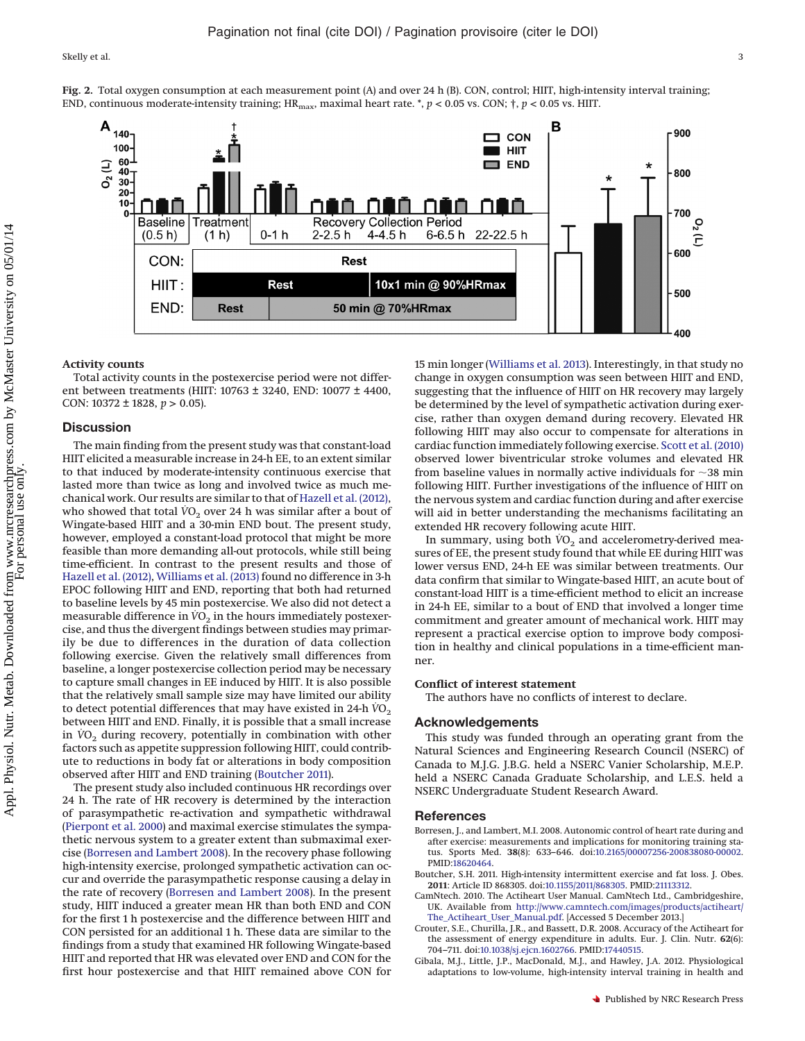Skelly et al. 332 Skelly et al. 332 Skelly et al. 332 Skelly et al. 332 Skelly et al.



<span id="page-2-4"></span>**Fig. 2.** Total oxygen consumption at each measurement point (A) and over 24 h (B). CON, control; HIIT, high-intensity interval training; END, continuous moderate-intensity training;  $HR_{\text{max}}$ , maximal heart rate. \*,  $p < 0.05$  vs. CON;  $\dagger$ ,  $p < 0.05$  vs. HIIT.

#### **Activity counts**

Total activity counts in the postexercise period were not different between treatments (HIIT: 10763 ± 3240, END: 10077 ± 4400, CON: 10372 ± 1828, *p* > 0.05).

#### **Discussion**

The main finding from the present study was that constant-load HIIT elicited a measurable increase in 24-h EE, to an extent similar to that induced by moderate-intensity continuous exercise that lasted more than twice as long and involved twice as much mechanical work. Our results are similar to that of [Hazell et al. \(2012\),](#page-3-5) who showed that total  $VO<sub>2</sub>$  over 24 h was similar after a bout of Wingate-based HIIT and a 30-min END bout. The present study, however, employed a constant-load protocol that might be more feasible than more demanding all-out protocols, while still being time-efficient. In contrast to the present results and those of [Hazell et al. \(2012\),](#page-3-5) [Williams et al. \(2013\)](#page-3-6) found no difference in 3-h EPOC following HIIT and END, reporting that both had returned to baseline levels by 45 min postexercise. We also did not detect a measurable difference in  $VO<sub>2</sub>$  in the hours immediately postexercise, and thus the divergent findings between studies may primarily be due to differences in the duration of data collection following exercise. Given the relatively small differences from baseline, a longer postexercise collection period may be necessary to capture small changes in EE induced by HIIT. It is also possible that the relatively small sample size may have limited our ability to detect potential differences that may have existed in 24-h  $\overline{VO}_2$ between HIIT and END. Finally, it is possible that a small increase in  $VO<sub>2</sub>$  during recovery, potentially in combination with other factors such as appetite suppression following HIIT, could contribute to reductions in body fat or alterations in body composition observed after HIIT and END training [\(Boutcher 2011\)](#page-2-1).

The present study also included continuous HR recordings over 24 h. The rate of HR recovery is determined by the interaction of parasympathetic re-activation and sympathetic withdrawal [\(Pierpont et al. 2000\)](#page-3-7) and maximal exercise stimulates the sympathetic nervous system to a greater extent than submaximal exercise [\(Borresen and Lambert 2008\)](#page-2-5). In the recovery phase following high-intensity exercise, prolonged sympathetic activation can occur and override the parasympathetic response causing a delay in the rate of recovery [\(Borresen and Lambert 2008\)](#page-2-5). In the present study, HIIT induced a greater mean HR than both END and CON for the first 1 h postexercise and the difference between HIIT and CON persisted for an additional 1 h. These data are similar to the findings from a study that examined HR following Wingate-based HIIT and reported that HR was elevated over END and CON for the first hour postexercise and that HIIT remained above CON for

15 min longer [\(Williams et al. 2013\)](#page-3-6). Interestingly, in that study no change in oxygen consumption was seen between HIIT and END, suggesting that the influence of HIIT on HR recovery may largely be determined by the level of sympathetic activation during exercise, rather than oxygen demand during recovery. Elevated HR following HIIT may also occur to compensate for alterations in cardiac function immediately following exercise. [Scott et al. \(2010\)](#page-3-8) observed lower biventricular stroke volumes and elevated HR from baseline values in normally active individuals for  ${\sim}38$  min following HIIT. Further investigations of the influence of HIIT on the nervous system and cardiac function during and after exercise will aid in better understanding the mechanisms facilitating an extended HR recovery following acute HIIT.

In summary, using both  $\dot{V}O_2$  and accelerometry-derived measures of EE, the present study found that while EE during HIIT was lower versus END, 24-h EE was similar between treatments. Our data confirm that similar to Wingate-based HIIT, an acute bout of constant-load HIIT is a time-efficient method to elicit an increase in 24-h EE, similar to a bout of END that involved a longer time commitment and greater amount of mechanical work. HIIT may represent a practical exercise option to improve body composition in healthy and clinical populations in a time-efficient manner.

#### **Conflict of interest statement**

The authors have no conflicts of interest to declare.

## **Acknowledgements**

This study was funded through an operating grant from the Natural Sciences and Engineering Research Council (NSERC) of Canada to M.J.G. J.B.G. held a NSERC Vanier Scholarship, M.E.P. held a NSERC Canada Graduate Scholarship, and L.E.S. held a NSERC Undergraduate Student Research Award.

#### <span id="page-2-5"></span>**References**

- Borresen, J., and Lambert, M.I. 2008. Autonomic control of heart rate during and after exercise: measurements and implications for monitoring training status. Sports Med. **38**(8): 633–646. doi[:10.2165/00007256-200838080-00002.](http://dx.doi.org/10.2165/00007256-200838080-00002) PMID[:18620464.](http://www.ncbi.nlm.nih.gov/pubmed/18620464)
- <span id="page-2-1"></span>Boutcher, S.H. 2011. High-intensity intermittent exercise and fat loss. J. Obes. **2011**: Article ID 868305. doi[:10.1155/2011/868305.](http://dx.doi.org/10.1155/2011/868305) PMID[:21113312.](http://www.ncbi.nlm.nih.gov/pubmed/21113312)
- <span id="page-2-3"></span>CamNtech. 2010. The Actiheart User Manual. CamNtech Ltd., Cambridgeshire, UK. Available from [http://www.camntech.com/images/products/actiheart/](http://www.camntech.com/images/products/actiheart/The_Actiheart_User_Manual.pdf) [The\\_Actiheart\\_User\\_Manual.pdf.](http://www.camntech.com/images/products/actiheart/The_Actiheart_User_Manual.pdf) [Accessed 5 December 2013.]
- <span id="page-2-2"></span>Crouter, S.E., Churilla, J.R., and Bassett, D.R. 2008. Accuracy of the Actiheart for the assessment of energy expenditure in adults. Eur. J. Clin. Nutr. **62**(6): 704–711. doi[:10.1038/sj.ejcn.1602766.](http://dx.doi.org/10.1038/sj.ejcn.1602766) PMID[:17440515.](http://www.ncbi.nlm.nih.gov/pubmed/17440515)
- <span id="page-2-0"></span>Gibala, M.J., Little, J.P., MacDonald, M.J., and Hawley, J.A. 2012. Physiological adaptations to low-volume, high-intensity interval training in health and